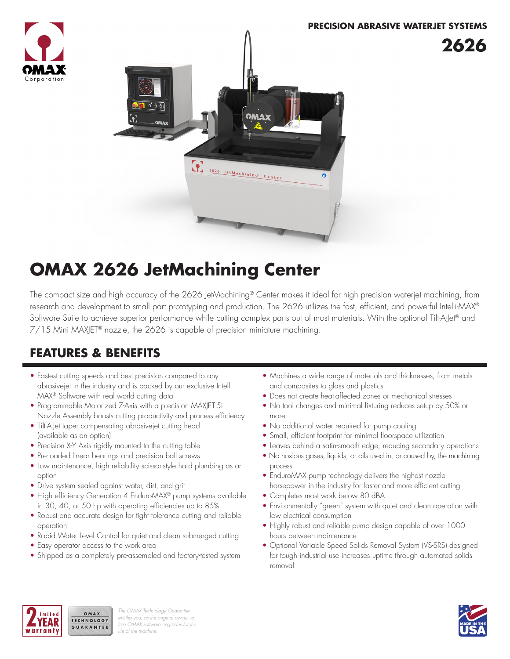



# **OMAX 2626 JetMachining Center**

The compact size and high accuracy of the 2626 JetMachining® Center makes it ideal for high precision waterjet machining, from research and development to small part prototyping and production. The 2626 utilizes the fast, efficient, and powerful Intelli-MAX® Software Suite to achieve superior performance while cutting complex parts out of most materials. With the optional Tilt-A-Jet® and 7/15 Mini MAXJET® nozzle, the 2626 is capable of precision miniature machining.

# **FEATURES & BENEFITS**

- Fastest cutting speeds and best precision compared to any abrasivejet in the industry and is backed by our exclusive Intelli-MAX® Software with real world cutting data
- Programmable Motorized Z-Axis with a precision MAXJET 5i Nozzle Assembly boosts cutting productivity and process efficiency
- Tilt-A-Jet taper compensating abrasivejet cutting head (available as an option)
- Precision X-Y Axis rigidly mounted to the cutting table
- Pre-loaded linear bearings and precision ball screws
- Low maintenance, high reliability scissor-style hard plumbing as an option
- Drive system sealed against water, dirt, and grit
- High efficiency Generation 4 EnduroMAX® pump systems available in 30, 40, or 50 hp with operating efficiencies up to 85%
- Robust and accurate design for tight tolerance cutting and reliable operation
- Rapid Water Level Control for quiet and clean submerged cutting
- Easy operator access to the work area

OMAX TECHNOLOGY

GUARANTEE

• Shipped as a completely pre-assembled and factory-tested system

- Machines a wide range of materials and thicknesses, from metals and composites to glass and plastics
- Does not create heat-affected zones or mechanical stresses
- No tool changes and minimal fixturing reduces setup by 50% or more
- No additional water required for pump cooling
- Small, efficient footprint for minimal floorspace utilization
- Leaves behind a satin-smooth edge, reducing secondary operations
- No noxious gases, liquids, or oils used in, or caused by, the machining process
- EnduroMAX pump technology delivers the highest nozzle horsepower in the industry for faster and more efficient cutting
- Completes most work below 80 dBA
- Environmentally "green" system with quiet and clean operation with low electrical consumption
- Highly robust and reliable pump design capable of over 1000 hours between maintenance
- Optional Variable Speed Solids Removal System (VS-SRS) designed for tough industrial use increases uptime through automated solids removal